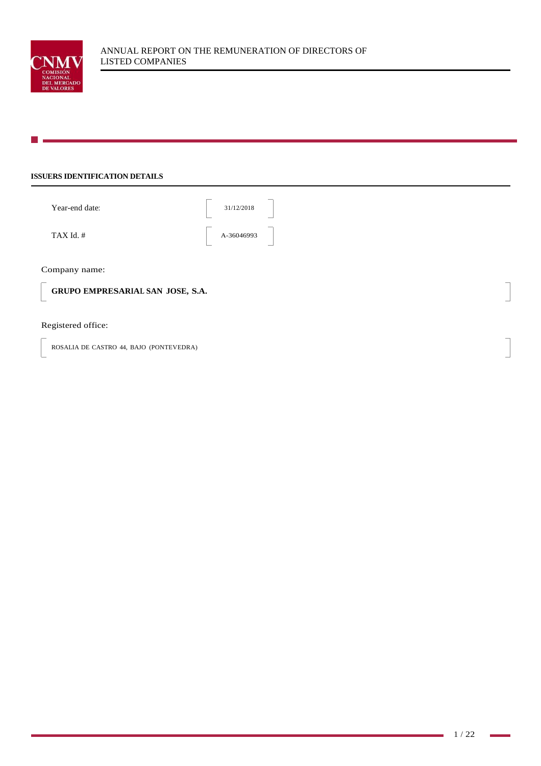

# **ISSUERS IDENTIFICATION DETAILS**

| Year-end date: | 31/12/2018                             |
|----------------|----------------------------------------|
| TAX Id. #      | A-36046993<br>$\overline{\phantom{a}}$ |
|                |                                        |

Company name:

**GRUPO EMPRESARIAL SAN JOSE, S.A.**

# Registered office:

ROSALIA DE CASTRO 44, BAJO (PONTEVEDRA)

 $\mathbf{r}$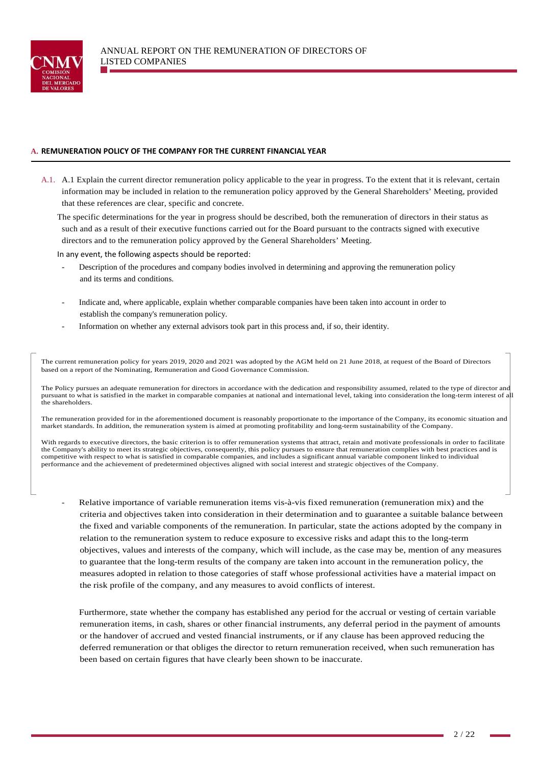

## **A. REMUNERATION POLICY OF THE COMPANY FOR THE CURRENT FINANCIAL YEAR**

A.1. A.1 Explain the current director remuneration policy applicable to the year in progress. To the extent that it is relevant, certain information may be included in relation to the remuneration policy approved by the General Shareholders' Meeting, provided that these references are clear, specific and concrete.

The specific determinations for the year in progress should be described, both the remuneration of directors in their status as such and as a result of their executive functions carried out for the Board pursuant to the contracts signed with executive directors and to the remuneration policy approved by the General Shareholders' Meeting.

In any event, the following aspects should be reported:

- Description of the procedures and company bodies involved in determining and approving the remuneration policy and its terms and conditions.
- Indicate and, where applicable, explain whether comparable companies have been taken into account in order to establish the company's remuneration policy.
- Information on whether any external advisors took part in this process and, if so, their identity.

The current remuneration policy for years 2019, 2020 and 2021 was adopted by the AGM held on 21 June 2018, at request of the Board of Directors based on a report of the Nominating, Remuneration and Good Governance Commission.

The Policy pursues an adequate remuneration for directors in accordance with the dedication and responsibility assumed, related to the type of director and pursuant to what is satisfied in the market in comparable companies at national and international level, taking into consideration the long-term interest of all the shareholders.

The remuneration provided for in the aforementioned document is reasonably proportionate to the importance of the Company, its economic situation and market standards. In addition, the remuneration system is aimed at promoting profitability and long-term sustainability of the Company.

With regards to executive directors, the basic criterion is to offer remuneration systems that attract, retain and motivate professionals in order to facilitate the Company's ability to meet its strategic objectives, consequently, this policy pursues to ensure that remuneration complies with best practices and is competitive with respect to what is satisfied in comparable companies, and includes a significant annual variable component linked to individual performance and the achievement of predetermined objectives aligned with social interest and strategic objectives of the Company.

Relative importance of variable remuneration items vis-à-vis fixed remuneration (remuneration mix) and the criteria and objectives taken into consideration in their determination and to guarantee a suitable balance between the fixed and variable components of the remuneration. In particular, state the actions adopted by the company in relation to the remuneration system to reduce exposure to excessive risks and adapt this to the long-term objectives, values and interests of the company, which will include, as the case may be, mention of any measures to guarantee that the long-term results of the company are taken into account in the remuneration policy, the measures adopted in relation to those categories of staff whose professional activities have a material impact on the risk profile of the company, and any measures to avoid conflicts of interest.

 Furthermore, state whether the company has established any period for the accrual or vesting of certain variable remuneration items, in cash, shares or other financial instruments, any deferral period in the payment of amounts or the handover of accrued and vested financial instruments, or if any clause has been approved reducing the deferred remuneration or that obliges the director to return remuneration received, when such remuneration has been based on certain figures that have clearly been shown to be inaccurate.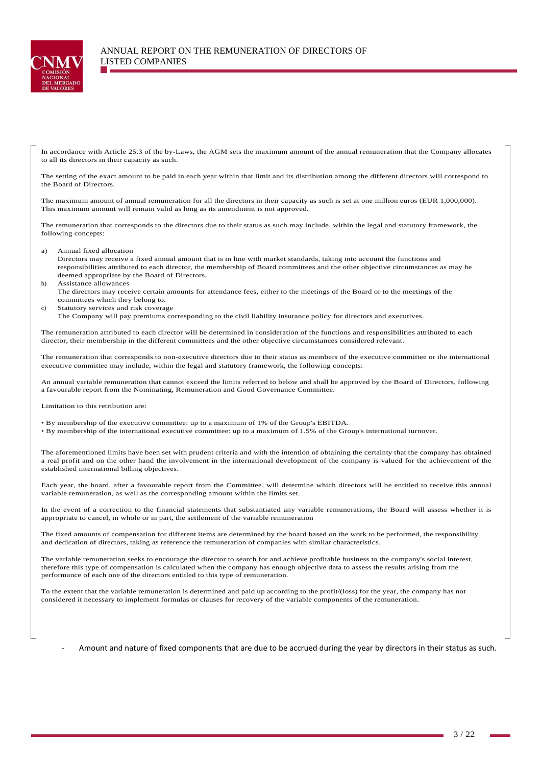

In accordance with Article 25.3 of the by-Laws, the AGM sets the maximum amount of the annual remuneration that the Company allocates to all its directors in their capacity as such.

The setting of the exact amount to be paid in each year within that limit and its distribution among the different directors will correspond to the Board of Directors.

The maximum amount of annual remuneration for all the directors in their capacity as such is set at one million euros (EUR 1,000,000). This maximum amount will remain valid as long as its amendment is not approved.

The remuneration that corresponds to the directors due to their status as such may include, within the legal and statutory framework, the following concepts:

a) Annual fixed allocation

Directors may receive a fixed annual amount that is in line with market standards, taking into account the functions and responsibilities attributed to each director, the membership of Board committees and the other objective circumstances as may be deemed appropriate by the Board of Directors.

b) Assistance allowances The directors may receive certain amounts for attendance fees, either to the meetings of the Board or to the meetings of the committees which they belong to.

- c) Statutory services and risk coverage
- The Company will pay premiums corresponding to the civil liability insurance policy for directors and executives.

The remuneration attributed to each director will be determined in consideration of the functions and responsibilities attributed to each director, their membership in the different committees and the other objective circumstances considered relevant.

The remuneration that corresponds to non-executive directors due to their status as members of the executive committee or the international executive committee may include, within the legal and statutory framework, the following concepts:

An annual variable remuneration that cannot exceed the limits referred to below and shall be approved by the Board of Directors, following a favourable report from the Nominating, Remuneration and Good Governance Committee.

Limitation to this retribution are:

• By membership of the executive committee: up to a maximum of 1% of the Group's EBITDA.

• By membership of the international executive committee: up to a maximum of 1.5% of the Group's international turnover.

The aforementioned limits have been set with prudent criteria and with the intention of obtaining the certainty that the company has obtained a real profit and on the other hand the involvement in the international development of the company is valued for the achievement of the established international billing objectives.

Each year, the board, after a favourable report from the Committee, will determine which directors will be entitled to receive this annual variable remuneration, as well as the corresponding amount within the limits set.

In the event of a correction to the financial statements that substantiated any variable remunerations, the Board will assess whether it is appropriate to cancel, in whole or in part, the settlement of the variable remuneration

The fixed amounts of compensation for different items are determined by the board based on the work to be performed, the responsibility and dedication of directors, taking as reference the remuneration of companies with similar characteristics.

The variable remuneration seeks to encourage the director to search for and achieve profitable business to the company's social interest, therefore this type of compensation is calculated when the company has enough objective data to assess the results arising from the performance of each one of the directors entitled to this type of remuneration.

To the extent that the variable remuneration is determined and paid up according to the profit/(loss) for the year, the company has not considered it necessary to implement formulas or clauses for recovery of the variable components of the remuneration.

Amount and nature of fixed components that are due to be accrued during the year by directors in their status as such.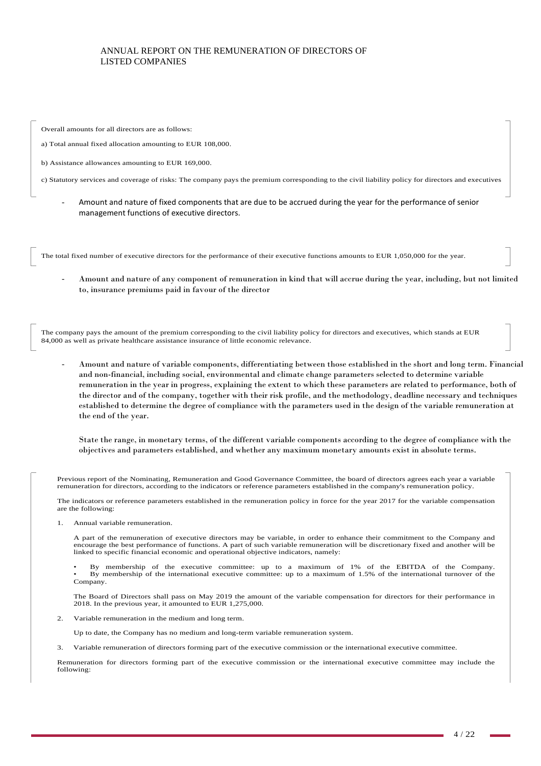Overall amounts for all directors are as follows:

a) Total annual fixed allocation amounting to EUR 108,000.

b) Assistance allowances amounting to EUR 169,000.

c) Statutory services and coverage of risks: The company pays the premium corresponding to the civil liability policy for directors and executives

- Amount and nature of fixed components that are due to be accrued during the year for the performance of senior management functions of executive directors.

The total fixed number of executive directors for the performance of their executive functions amounts to EUR 1,050,000 for the year.

- Amount and nature of any component of remuneration in kind that will accrue during the year, including, but not limited to, insurance premiums paid in favour of the director

The company pays the amount of the premium corresponding to the civil liability policy for directors and executives, which stands at EUR 84,000 as well as private healthcare assistance insurance of little economic relevance.

- Amount and nature of variable components, differentiating between those established in the short and long term. Financial and non-financial, including social, environmental and climate change parameters selected to determine variable remuneration in the year in progress, explaining the extent to which these parameters are related to performance, both of the director and of the company, together with their risk profile, and the methodology, deadline necessary and techniques established to determine the degree of compliance with the parameters used in the design of the variable remuneration at the end of the year.

 State the range, in monetary terms, of the different variable components according to the degree of compliance with the objectives and parameters established, and whether any maximum monetary amounts exist in absolute terms.

Previous report of the Nominating, Remuneration and Good Governance Committee, the board of directors agrees each year a variable remuneration for directors, according to the indicators or reference parameters established in the company's remuneration policy.

The indicators or reference parameters established in the remuneration policy in force for the year 2017 for the variable compensation are the following:

Annual variable remuneration.

A part of the remuneration of executive directors may be variable, in order to enhance their commitment to the Company and encourage the best performance of functions. A part of such variable remuneration will be discretionary fixed and another will be linked to specific financial economic and operational objective indicators, namely:

• By membership of the executive committee: up to a maximum of 1% of the EBITDA of the Company. • By membership of the international executive committee: up to a maximum of 1.5% of the international turnover of the Company.

The Board of Directors shall pass on May 2019 the amount of the variable compensation for directors for their performance in 2018. In the previous year, it amounted to EUR 1,275,000.

2. Variable remuneration in the medium and long term.

Up to date, the Company has no medium and long-term variable remuneration system.

3. Variable remuneration of directors forming part of the executive commission or the international executive committee.

Remuneration for directors forming part of the executive commission or the international executive committee may include the following: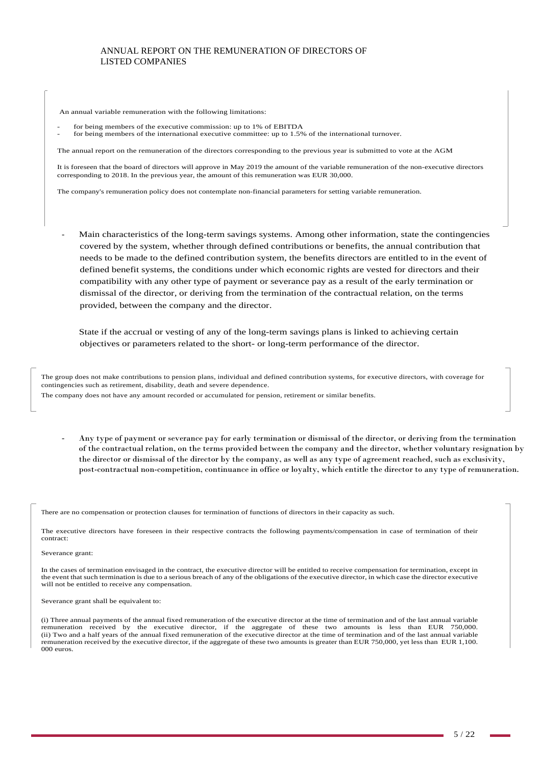An annual variable remuneration with the following limitations:

- for being members of the executive commission: up to 1% of EBITDA
- for being members of the international executive committee: up to 1.5% of the international turnover.

The annual report on the remuneration of the directors corresponding to the previous year is submitted to vote at the AGM

It is foreseen that the board of directors will approve in May 2019 the amount of the variable remuneration of the non-executive directors corresponding to 2018. In the previous year, the amount of this remuneration was EUR 30,000.

The company's remuneration policy does not contemplate non-financial parameters for setting variable remuneration.

Main characteristics of the long-term savings systems. Among other information, state the contingencies covered by the system, whether through defined contributions or benefits, the annual contribution that needs to be made to the defined contribution system, the benefits directors are entitled to in the event of defined benefit systems, the conditions under which economic rights are vested for directors and their compatibility with any other type of payment or severance pay as a result of the early termination or dismissal of the director, or deriving from the termination of the contractual relation, on the terms provided, between the company and the director.

 State if the accrual or vesting of any of the long-term savings plans is linked to achieving certain objectives or parameters related to the short- or long-term performance of the director.

The group does not make contributions to pension plans, individual and defined contribution systems, for executive directors, with coverage for contingencies such as retirement, disability, death and severe dependence. The company does not have any amount recorded or accumulated for pension, retirement or similar benefits.

- Any type of payment or severance pay for early termination or dismissal of the director, or deriving from the termination of the contractual relation, on the terms provided between the company and the director, whether voluntary resignation by the director or dismissal of the director by the company, as well as any type of agreement reached, such as exclusivity, post-contractual non-competition, continuance in office or loyalty, which entitle the director to any type of remuneration.

There are no compensation or protection clauses for termination of functions of directors in their capacity as such.

The executive directors have foreseen in their respective contracts the following payments/compensation in case of termination of their contract:

#### Severance grant:

In the cases of termination envisaged in the contract, the executive director will be entitled to receive compensation for termination, except in the event that such termination is due to a serious breach of any of the obligations of the executive director, in which case the director executive will not be entitled to receive any compensation.

Severance grant shall be equivalent to:

(i) Three annual payments of the annual fixed remuneration of the executive director at the time of termination and of the last annual variable remuneration received by the executive director, if the aggregate of these two amounts is less than EUR 750,000. (ii) Two and a half years of the annual fixed remuneration of the executive director at the time of termination and of the last annual variable remuneration received by the executive director, if the aggregate of these two amounts is greater than EUR 750,000, yet less than EUR 1,100. 000 euros.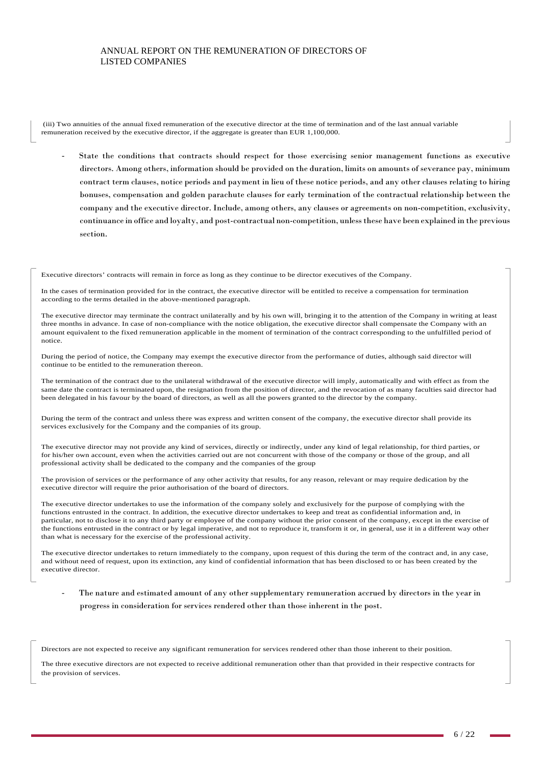(iii) Two annuities of the annual fixed remuneration of the executive director at the time of termination and of the last annual variable remuneration received by the executive director, if the aggregate is greater than EUR 1,100,000.

- State the conditions that contracts should respect for those exercising senior management functions as executive directors. Among others, information should be provided on the duration, limits on amounts of severance pay, minimum contract term clauses, notice periods and payment in lieu of these notice periods, and any other clauses relating to hiring bonuses, compensation and golden parachute clauses for early termination of the contractual relationship between the company and the executive director. Include, among others, any clauses or agreements on non-competition, exclusivity, continuance in office and loyalty, and post-contractual non-competition, unless these have been explained in the previous section.

Executive directors' contracts will remain in force as long as they continue to be director executives of the Company.

In the cases of termination provided for in the contract, the executive director will be entitled to receive a compensation for termination according to the terms detailed in the above-mentioned paragraph.

The executive director may terminate the contract unilaterally and by his own will, bringing it to the attention of the Company in writing at least three months in advance. In case of non-compliance with the notice obligation, the executive director shall compensate the Company with an amount equivalent to the fixed remuneration applicable in the moment of termination of the contract corresponding to the unfulfilled period of notice.

During the period of notice, the Company may exempt the executive director from the performance of duties, although said director will continue to be entitled to the remuneration thereon.

The termination of the contract due to the unilateral withdrawal of the executive director will imply, automatically and with effect as from the same date the contract is terminated upon, the resignation from the position of director, and the revocation of as many faculties said director had been delegated in his favour by the board of directors, as well as all the powers granted to the director by the company.

During the term of the contract and unless there was express and written consent of the company, the executive director shall provide its services exclusively for the Company and the companies of its group.

The executive director may not provide any kind of services, directly or indirectly, under any kind of legal relationship, for third parties, or for his/her own account, even when the activities carried out are not concurrent with those of the company or those of the group, and all professional activity shall be dedicated to the company and the companies of the group

The provision of services or the performance of any other activity that results, for any reason, relevant or may require dedication by the executive director will require the prior authorisation of the board of directors.

The executive director undertakes to use the information of the company solely and exclusively for the purpose of complying with the functions entrusted in the contract. In addition, the executive director undertakes to keep and treat as confidential information and, in particular, not to disclose it to any third party or employee of the company without the prior consent of the company, except in the exercise of the functions entrusted in the contract or by legal imperative, and not to reproduce it, transform it or, in general, use it in a different way other than what is necessary for the exercise of the professional activity.

The executive director undertakes to return immediately to the company, upon request of this during the term of the contract and, in any case, and without need of request, upon its extinction, any kind of confidential information that has been disclosed to or has been created by the executive director.

The nature and estimated amount of any other supplementary remuneration accrued by directors in the year in progress in consideration for services rendered other than those inherent in the post.

Directors are not expected to receive any significant remuneration for services rendered other than those inherent to their position.

The three executive directors are not expected to receive additional remuneration other than that provided in their respective contracts for the provision of services.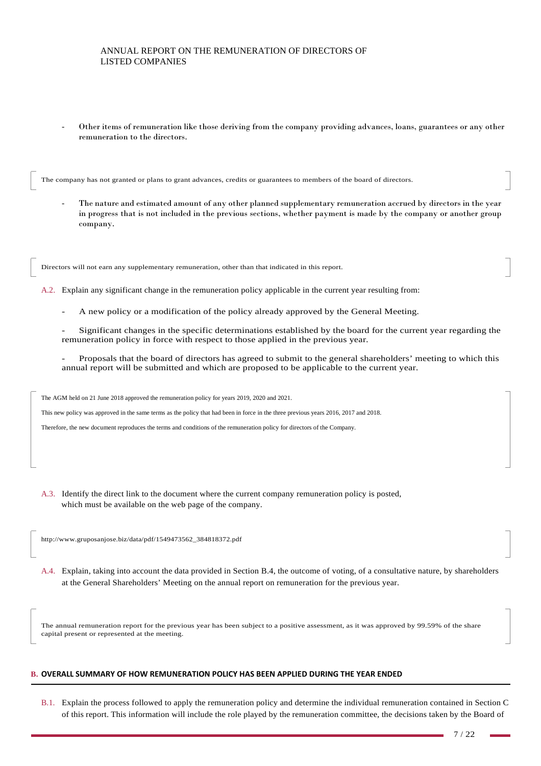- Other items of remuneration like those deriving from the company providing advances, loans, guarantees or any other remuneration to the directors.

The company has not granted or plans to grant advances, credits or guarantees to members of the board of directors.

The nature and estimated amount of any other planned supplementary remuneration accrued by directors in the year in progress that is not included in the previous sections, whether payment is made by the company or another group company.

Directors will not earn any supplementary remuneration, other than that indicated in this report.

A.2. Explain any significant change in the remuneration policy applicable in the current year resulting from:

A new policy or a modification of the policy already approved by the General Meeting.

- Significant changes in the specific determinations established by the board for the current year regarding the remuneration policy in force with respect to those applied in the previous year.

- Proposals that the board of directors has agreed to submit to the general shareholders' meeting to which this annual report will be submitted and which are proposed to be applicable to the current year.

The AGM held on 21 June 2018 approved the remuneration policy for years 2019, 2020 and 2021.

This new policy was approved in the same terms as the policy that had been in force in the three previous years 2016, 2017 and 2018.

Therefore, the new document reproduces the terms and conditions of the remuneration policy for directors of the Company.

A.3. Identify the direct link to the document where the current company remuneration policy is posted, which must be available on the web page of the company.

http://www.gruposanjose.biz/data/pdf/1549473562\_384818372.pdf

A.4. Explain, taking into account the data provided in Section B.4, the outcome of voting, of a consultative nature, by shareholders at the General Shareholders' Meeting on the annual report on remuneration for the previous year.

The annual remuneration report for the previous year has been subject to a positive assessment, as it was approved by 99.59% of the share capital present or represented at the meeting.

## **B. OVERALL SUMMARY OF HOW REMUNERATION POLICY HAS BEEN APPLIED DURING THE YEAR ENDED**

B.1. Explain the process followed to apply the remuneration policy and determine the individual remuneration contained in Section C of this report. This information will include the role played by the remuneration committee, the decisions taken by the Board of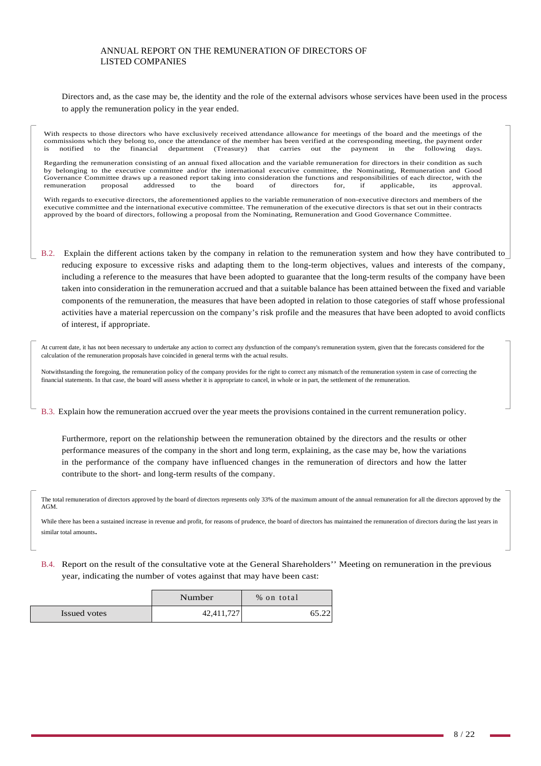Directors and, as the case may be, the identity and the role of the external advisors whose services have been used in the process to apply the remuneration policy in the year ended.

With respects to those directors who have exclusively received attendance allowance for meetings of the board and the meetings of the commissions which they belong to, once the attendance of the member has been verified at the corresponding meeting, the payment order<br>is notified to the financial department (Treasury) that carries out the payment in the f is notified to the financial department (Treasury) that carries out the payment in the following days.

Regarding the remuneration consisting of an annual fixed allocation and the variable remuneration for directors in their condition as such by belonging to the executive committee and/or the international executive committee, the Nominating, Remuneration and Good Governance Committee draws up a reasoned report taking into consideration the functions and responsibilities of each director, with the remuneration proposal addressed to the board of directors for, if applicable, its appr remuneration proposal addressed to the board of directors for, if applicable, its approval.

With regards to executive directors, the aforementioned applies to the variable remuneration of non-executive directors and members of the executive committee and the international executive committee. The remuneration of the executive directors is that set out in their contracts approved by the board of directors, following a proposal from the Nominating, Remuneration and Good Governance Committee.

B.2. Explain the different actions taken by the company in relation to the remuneration system and how they have contributed to reducing exposure to excessive risks and adapting them to the long-term objectives, values and interests of the company, including a reference to the measures that have been adopted to guarantee that the long-term results of the company have been taken into consideration in the remuneration accrued and that a suitable balance has been attained between the fixed and variable components of the remuneration, the measures that have been adopted in relation to those categories of staff whose professional activities have a material repercussion on the company's risk profile and the measures that have been adopted to avoid conflicts of interest, if appropriate.

At current date, it has not been necessary to undertake any action to correct any dysfunction of the company's remuneration system, given that the forecasts considered for the calculation of the remuneration proposals have coincided in general terms with the actual results.

Notwithstanding the foregoing, the remuneration policy of the company provides for the right to correct any mismatch of the remuneration system in case of correcting the financial statements. In that case, the board will assess whether it is appropriate to cancel, in whole or in part, the settlement of the remuneration.

B.3. Explain how the remuneration accrued over the year meets the provisions contained in the current remuneration policy.

Furthermore, report on the relationship between the remuneration obtained by the directors and the results or other performance measures of the company in the short and long term, explaining, as the case may be, how the variations in the performance of the company have influenced changes in the remuneration of directors and how the latter contribute to the short- and long-term results of the company.

The total remuneration of directors approved by the board of directors represents only 33% of the maximum amount of the annual remuneration for all the directors approved by the AGM.

While there has been a sustained increase in revenue and profit, for reasons of prudence, the board of directors has maintained the remuneration of directors during the last years in similar total amounts.

B.4. Report on the result of the consultative vote at the General Shareholders'' Meeting on remuneration in the previous year, indicating the number of votes against that may have been cast:

|              | Number     | % on total |     |
|--------------|------------|------------|-----|
| Issued votes | 42,411,727 |            | .22 |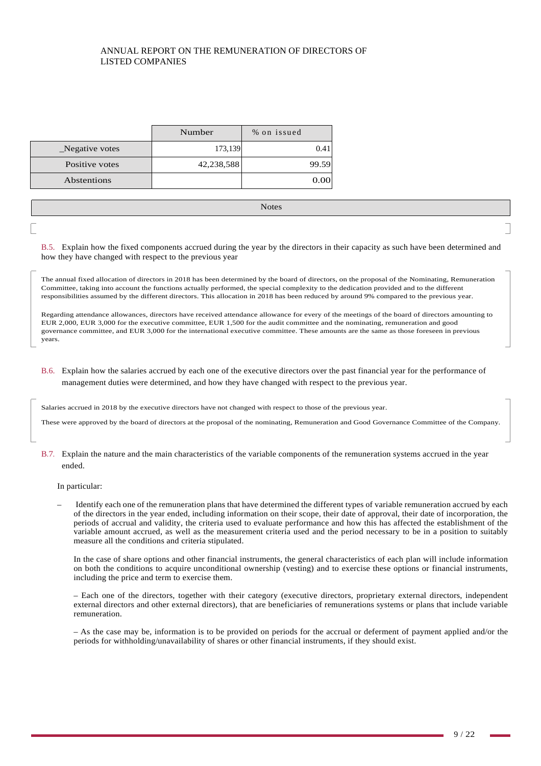|                | Number     | % on issued |       |
|----------------|------------|-------------|-------|
| Negative votes | 173,139    |             | 0.41  |
| Positive votes | 42,238,588 |             | 99.59 |
| Abstentions    |            |             | 0.00  |
|                |            |             |       |

B.5. Explain how the fixed components accrued during the year by the directors in their capacity as such have been determined and how they have changed with respect to the previous year

The annual fixed allocation of directors in 2018 has been determined by the board of directors, on the proposal of the Nominating, Remuneration Committee, taking into account the functions actually performed, the special complexity to the dedication provided and to the different responsibilities assumed by the different directors. This allocation in 2018 has been reduced by around 9% compared to the previous year.

Regarding attendance allowances, directors have received attendance allowance for every of the meetings of the board of directors amounting to EUR 2,000, EUR 3,000 for the executive committee, EUR 1,500 for the audit committee and the nominating, remuneration and good governance committee, and EUR 3,000 for the international executive committee. These amounts are the same as those foreseen in previous years.

B.6. Explain how the salaries accrued by each one of the executive directors over the past financial year for the performance of management duties were determined, and how they have changed with respect to the previous year.

Salaries accrued in 2018 by the executive directors have not changed with respect to those of the previous year.

These were approved by the board of directors at the proposal of the nominating, Remuneration and Good Governance Committee of the Company.

B.7. Explain the nature and the main characteristics of the variable components of the remuneration systems accrued in the year ended.

In particular:

– Identify each one of the remuneration plans that have determined the different types of variable remuneration accrued by each of the directors in the year ended, including information on their scope, their date of approval, their date of incorporation, the periods of accrual and validity, the criteria used to evaluate performance and how this has affected the establishment of the variable amount accrued, as well as the measurement criteria used and the period necessary to be in a position to suitably measure all the conditions and criteria stipulated.

In the case of share options and other financial instruments, the general characteristics of each plan will include information on both the conditions to acquire unconditional ownership (vesting) and to exercise these options or financial instruments, including the price and term to exercise them.

– Each one of the directors, together with their category (executive directors, proprietary external directors, independent external directors and other external directors), that are beneficiaries of remunerations systems or plans that include variable remuneration.

– As the case may be, information is to be provided on periods for the accrual or deferment of payment applied and/or the periods for withholding/unavailability of shares or other financial instruments, if they should exist.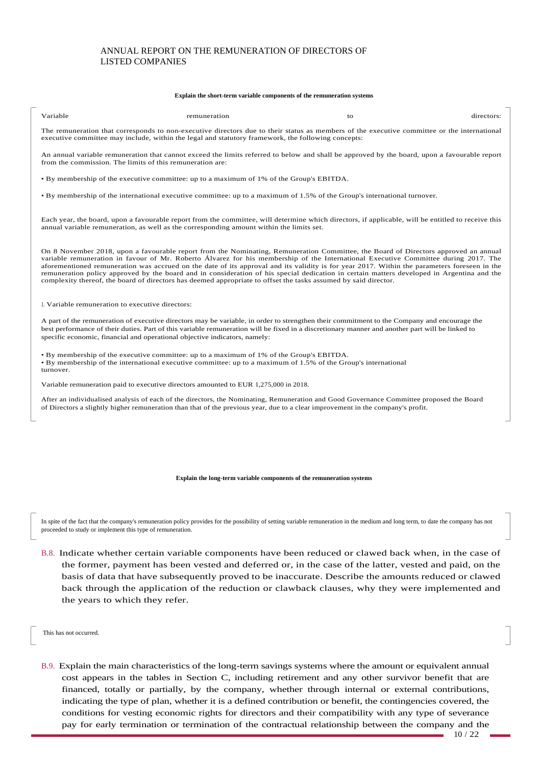#### **Explain the short-term variable components of the remuneration systems**

| Variable | remuneration | to<br>$\sim$ $\sim$ | . .<br>⊤11″ |
|----------|--------------|---------------------|-------------|
|          |              |                     |             |

The remuneration that corresponds to non-executive directors due to their status as members of the executive committee or the international executive committee may include, within the legal and statutory framework, the following concepts:

An annual variable remuneration that cannot exceed the limits referred to below and shall be approved by the board, upon a favourable report from the commission. The limits of this remuneration are:

• By membership of the executive committee: up to a maximum of 1% of the Group's EBITDA.

• By membership of the international executive committee: up to a maximum of 1.5% of the Group's international turnover.

Each year, the board, upon a favourable report from the committee, will determine which directors, if applicable, will be entitled to receive this annual variable remuneration, as well as the corresponding amount within the limits set.

On 8 November 2018, upon a favourable report from the Nominating, Remuneration Committee, the Board of Directors approved an annual variable remuneration in favour of Mr. Roberto Álvarez for his membership of the International Executive Committee during 2017. The aforementioned remuneration was accrued on the date of its approval and its validity is for year 2017. Within the parameters foreseen in the remuneration policy approved by the board and in consideration of his special dedication in certain matters developed in Argentina and the complexity thereof, the board of directors has deemed appropriate to offset the tasks assumed by said director.

1. Variable remuneration to executive directors:

A part of the remuneration of executive directors may be variable, in order to strengthen their commitment to the Company and encourage the best performance of their duties. Part of this variable remuneration will be fixed in a discretionary manner and another part will be linked to specific economic, financial and operational objective indicators, namely:

• By membership of the executive committee: up to a maximum of 1% of the Group's EBITDA. • By membership of the international executive committee: up to a maximum of 1.5% of the Group's international turnover.

Variable remuneration paid to executive directors amounted to EUR 1,275,000 in 2018.

After an individualised analysis of each of the directors, the Nominating, Remuneration and Good Governance Committee proposed the Board of Directors a slightly higher remuneration than that of the previous year, due to a clear improvement in the company's profit.

**Explain the long-term variable components of the remuneration systems** 

In spite of the fact that the company's remuneration policy provides for the possibility of setting variable remuneration in the medium and long term, to date the company has not proceeded to study or implement this type of remuneration.

B.8. Indicate whether certain variable components have been reduced or clawed back when, in the case of the former, payment has been vested and deferred or, in the case of the latter, vested and paid, on the basis of data that have subsequently proved to be inaccurate. Describe the amounts reduced or clawed back through the application of the reduction or clawback clauses, why they were implemented and the years to which they refer.

This has not occurred.

B.9. Explain the main characteristics of the long-term savings systems where the amount or equivalent annual cost appears in the tables in Section C, including retirement and any other survivor benefit that are financed, totally or partially, by the company, whether through internal or external contributions, indicating the type of plan, whether it is a defined contribution or benefit, the contingencies covered, the conditions for vesting economic rights for directors and their compatibility with any type of severance pay for early termination or termination of the contractual relationship between the company and the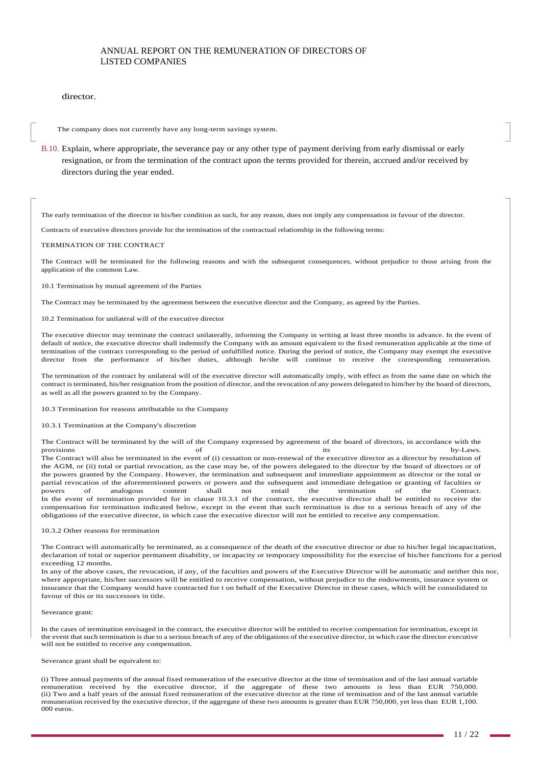### director.

The company does not currently have any long-term savings system.

B.10. Explain, where appropriate, the severance pay or any other type of payment deriving from early dismissal or early resignation, or from the termination of the contract upon the terms provided for therein, accrued and/or received by directors during the year ended.

The early termination of the director in his/her condition as such, for any reason, does not imply any compensation in favour of the director.

Contracts of executive directors provide for the termination of the contractual relationship in the following terms:

#### TERMINATION OF THE CONTRACT

The Contract will be terminated for the following reasons and with the subsequent consequences, without prejudice to those arising from the application of the common Law.

10.1 Termination by mutual agreement of the Parties

The Contract may be terminated by the agreement between the executive director and the Company, as agreed by the Parties.

10.2 Termination for unilateral will of the executive director

The executive director may terminate the contract unilaterally, informing the Company in writing at least three months in advance. In the event of default of notice, the executive director shall indemnify the Company with an amount equivalent to the fixed remuneration applicable at the time of termination of the contract corresponding to the period of unfulfilled notice. During the period of notice, the Company may exempt the executive director from the performance of his/her duties, although he/she will continue to receive the corresponding remuneration.

The termination of the contract by unilateral will of the executive director will automatically imply, with effect as from the same date on which the contract is terminated, his/her resignation from the position of director, and the revocation of any powers delegated to him/her by the board of directors, as well as all the powers granted to by the Company.

10.3 Termination for reasons attributable to the Company

#### 10.3.1 Termination at the Company's discretion

The Contract will be terminated by the will of the Company expressed by agreement of the board of directors, in accordance with the provisions of of its by-Laws. The Contract will also be terminated in the event of (i) cessation or non-renewal of the executive director as a director by resolution of the AGM, or (ii) total or partial revocation, as the case may be, of the powers delegated to the director by the board of directors or of the powers granted by the Company. However, the termination and subsequent and immediate appointment as director or the total or partial revocation of the aforementioned powers or powers and the subsequent and immediate delegation or granting of faculties or powers of analogous content shall not entail the termination of the Contract. In the event of termination provided for in clause 10.3.1 of the contract, the executive director shall be entitled to receive the compensation for termination indicated below, except in the event that such termination is due to a serious breach of any of the obligations of the executive director, in which case the executive director will not be entitled to receive any compensation.

#### 10.3.2 Other reasons for termination

The Contract will automatically be terminated, as a consequence of the death of the executive director or due to his/her legal incapacitation, declaration of total or superior permanent disability, or incapacity or temporary impossibility for the exercise of his/her functions for a period exceeding 12 months.

In any of the above cases, the revocation, if any, of the faculties and powers of the Executive Director will be automatic and neither this nor, where appropriate, his/her successors will be entitled to receive compensation, without prejudice to the endowments, insurance system or insurance that the Company would have contracted for t on behalf of the Executive Director in these cases, which will be consolidated in favour of this or its successors in title.

#### Severance grant:

In the cases of termination envisaged in the contract, the executive director will be entitled to receive compensation for termination, except in the event that such termination is due to a serious breach of any of the obligations of the executive director, in which case the director executive will not be entitled to receive any compensation.

#### Severance grant shall be equivalent to:

(i) Three annual payments of the annual fixed remuneration of the executive director at the time of termination and of the last annual variable remuneration received by the executive director, if the aggregate of these two amounts is less than EUR 750,000. (ii) Two and a half years of the annual fixed remuneration of the executive director at the time of termination and of the last annual variable remuneration received by the executive director, if the aggregate of these two amounts is greater than EUR 750,000, yet less than EUR 1,100. 000 euros.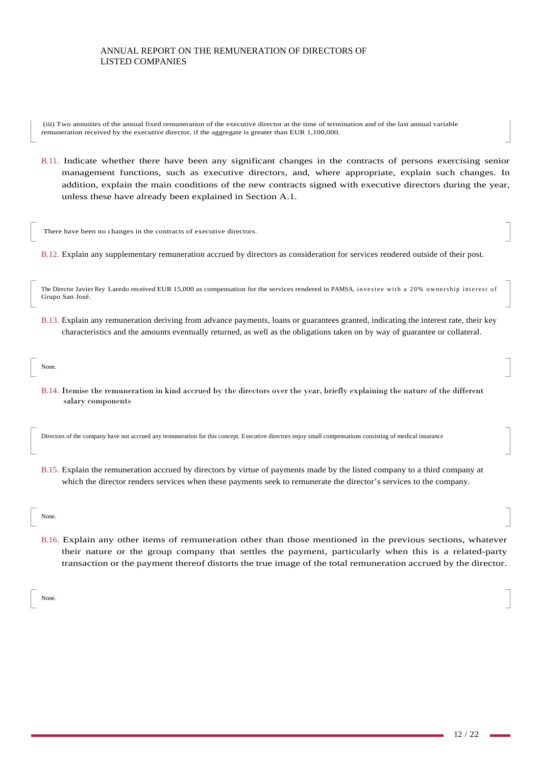(iii) Two annuities of the annual fixed remuneration of the executive director at the time of termination and of the last annual variable remuneration received by the executive director, if the aggregate is greater than EUR 1,100,000.

B.11. Indicate whether there have been any significant changes in the contracts of persons exercising senior management functions, such as executive directors, and, where appropriate, explain such changes. In addition, explain the main conditions of the new contracts signed with executive directors during the year, unless these have already been explained in Section A.1.

There have been no changes in the contracts of executive directors.

B.12. Explain any supplementary remuneration accrued by directors as consideration for services rendered outside of their post.

The Director Javier Rey Laredo received EUR 15,000 as compensation for the services rendered in PAMSA, investee with a 20% ownership interest of Grupo San José.

- B.13. Explain any remuneration deriving from advance payments, loans or guarantees granted, indicating the interest rate, their key characteristics and the amounts eventually returned, as well as the obligations taken on by way of guarantee or collateral.
- salary components

Directors of the company have not accrued any remuneration for this concept. Executive directors enjoy small compensations consisting of medical insurance

B.15. Explain the remuneration accrued by directors by virtue of payments made by the listed company to a third company at which the director renders services when these payments seek to remunerate the director's services to the company.

B.14. Itemise the remuneration in kind accrued by the directors over the year, briefly explaining the nature of the different

### None.

None.

B.16. Explain any other items of remuneration other than those mentioned in the previous sections, whatever their nature or the group company that settles the payment, particularly when this is a related-party transaction or the payment thereof distorts the true image of the total remuneration accrued by the director.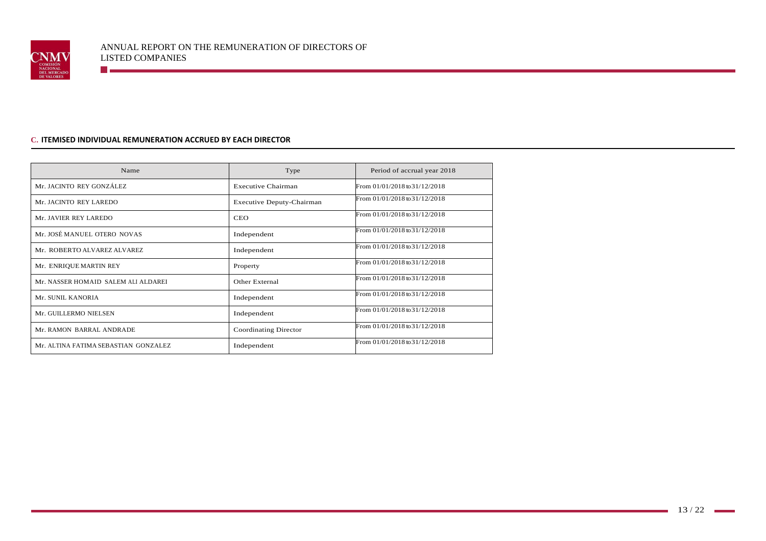

# **C. ITEMISED INDIVIDUAL REMUNERATION ACCRUED BY EACH DIRECTOR**

**The Communication** 

| Name                                 | Type                      | Period of accrual year 2018   |
|--------------------------------------|---------------------------|-------------------------------|
| Mr. JACINTO REY GONZÁLEZ             | <b>Executive Chairman</b> | From 01/01/2018 to 31/12/2018 |
| Mr. JACINTO REY LAREDO               | Executive Deputy-Chairman | From 01/01/2018 to 31/12/2018 |
| Mr. JAVIER REY LAREDO                | <b>CEO</b>                | From 01/01/2018 to 31/12/2018 |
| Mr. JOSÉ MANUEL OTERO NOVAS          | Independent               | From 01/01/2018 to 31/12/2018 |
| Mr. ROBERTO ALVAREZ ALVAREZ          | Independent               | From 01/01/2018 to 31/12/2018 |
| Mr. ENRIQUE MARTIN REY               | Property                  | From 01/01/2018 to 31/12/2018 |
| Mr. NASSER HOMAID SALEM ALI ALDAREI  | Other External            | From 01/01/2018 to 31/12/2018 |
| Mr. SUNIL KANORIA                    | Independent               | From 01/01/2018 to 31/12/2018 |
| Mr. GUILLERMO NIELSEN                | Independent               | From 01/01/2018 to 31/12/2018 |
| Mr. RAMON BARRAL ANDRADE             | Coordinating Director     | From 01/01/2018 to 31/12/2018 |
| Mr. ALTINA FATIMA SEBASTIAN GONZALEZ | Independent               | From 01/01/2018 to 31/12/2018 |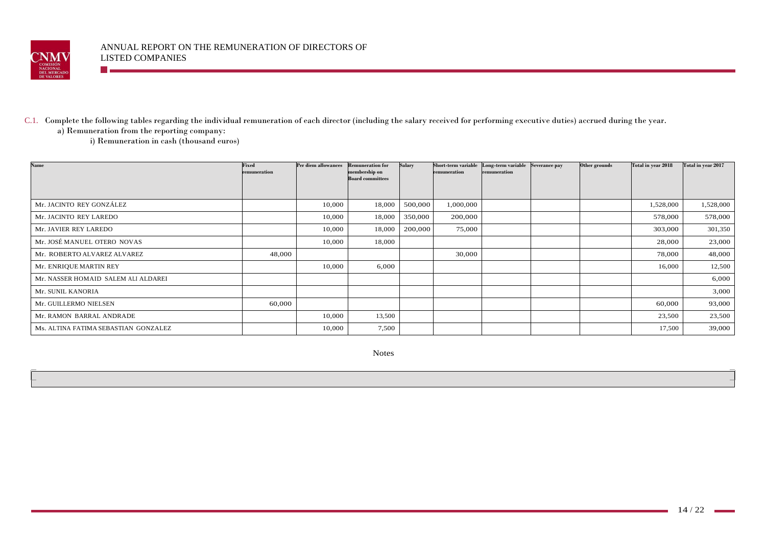

# C.1. Complete the following tables regarding the individual remuneration of each director (including the salary received for performing executive duties) accrued during the year.

a) Remuneration from the reporting company:

n a

i) Remuneration in cash (thousand euros)

| <b>Name</b>                          | Fixed        | Per diem allowances | <b>Remuneration for</b>                  | Salary  | Short-term variable | Long-term variable Severance pay | Other grounds | Total in year 2018 | Total in year 2017 |
|--------------------------------------|--------------|---------------------|------------------------------------------|---------|---------------------|----------------------------------|---------------|--------------------|--------------------|
|                                      | remuneration |                     | membership on<br><b>Board committees</b> |         | remuneration        | remuneration                     |               |                    |                    |
|                                      |              |                     |                                          |         |                     |                                  |               |                    |                    |
|                                      |              |                     |                                          |         |                     |                                  |               |                    |                    |
| Mr. JACINTO REY GONZÁLEZ             |              | 10,000              | 18,000                                   | 500,000 | 1,000,000           |                                  |               | 1,528,000          | 1,528,000          |
| Mr. JACINTO REY LAREDO               |              | 10,000              | 18,000                                   | 350,000 | 200,000             |                                  |               | 578,000            | 578,000            |
| Mr. JAVIER REY LAREDO                |              | 10,000              | 18,000                                   | 200,000 | 75,000              |                                  |               | 303,000            | 301,350            |
| Mr. JOSÉ MANUEL OTERO NOVAS          |              | 10,000              | 18,000                                   |         |                     |                                  |               | 28,000             | 23,000             |
| Mr. ROBERTO ALVAREZ ALVAREZ          | 48,000       |                     |                                          |         | 30,000              |                                  |               | 78,000             | 48,000             |
| Mr. ENRIQUE MARTIN REY               |              | 10,000              | 6,000                                    |         |                     |                                  |               | 16,000             | 12,500             |
| Mr. NASSER HOMAID SALEM ALI ALDAREI  |              |                     |                                          |         |                     |                                  |               |                    | 6,000              |
| Mr. SUNIL KANORIA                    |              |                     |                                          |         |                     |                                  |               |                    | 3,000              |
| Mr. GUILLERMO NIELSEN                | 60,000       |                     |                                          |         |                     |                                  |               | 60,000             | 93,000             |
| Mr. RAMON BARRAL ANDRADE             |              | 10,000              | 13,500                                   |         |                     |                                  |               | 23,500             | 23,500             |
| Ms. ALTINA FATIMA SEBASTIAN GONZALEZ |              | 10,000              | 7,500                                    |         |                     |                                  |               | 17,500             | 39,000             |

Notes

m.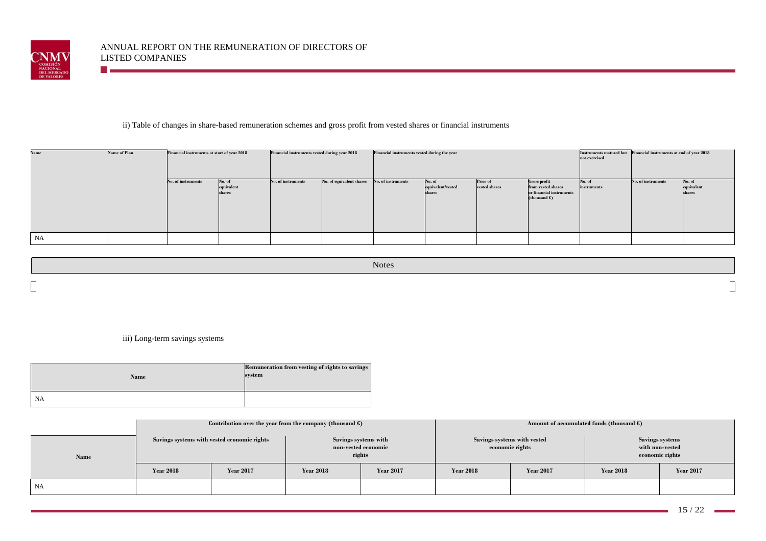

<u> Terminal de la p</u>

# ii) Table of changes in share-based remuneration schemes and gross profit from vested shares or financial instruments

| Financial instruments at start of year 2018<br>Name of Plan<br><b>Name</b> |  | Financial instruments vested during year 2018 |                                | Financial instruments vested during the year |                          |                    |                                       | Instruments matured but Financial instruments at end of year 2018<br>not exercised |                                                                                          |                       |                    |                                |
|----------------------------------------------------------------------------|--|-----------------------------------------------|--------------------------------|----------------------------------------------|--------------------------|--------------------|---------------------------------------|------------------------------------------------------------------------------------|------------------------------------------------------------------------------------------|-----------------------|--------------------|--------------------------------|
|                                                                            |  | No. of instruments                            | No. of<br>equivalent<br>shares | No. of instruments                           | No. of equivalent shares | No. of instruments | No. of<br>equivalent/vested<br>shares | Price of<br>vested shares                                                          | <b>Gross profit</b><br>from vested shares<br>or financial instruments<br>(thousand $C$ ) | No. of<br>instruments | No. of instruments | No. of<br>equivalent<br>shares |
| NA                                                                         |  |                                               |                                |                                              |                          |                    |                                       |                                                                                    |                                                                                          |                       |                    |                                |

|                  | <b>Notes</b> |
|------------------|--------------|
| $\sim$<br>$\sim$ |              |

iii) Long-term savings systems

| Name      | Remuneration from vesting of rights to savings<br>system |
|-----------|----------------------------------------------------------|
| <b>NA</b> |                                                          |

|      | Contribution over the year from the company (thousand $\epsilon$ ) |                  |                                                       |                  |                                                |                  | Amount of accumulated funds (thousand $\epsilon$ )           |                  |
|------|--------------------------------------------------------------------|------------------|-------------------------------------------------------|------------------|------------------------------------------------|------------------|--------------------------------------------------------------|------------------|
| Name | Savings systems with vested economic rights                        |                  | Savings systems with<br>non-vested economic<br>rights |                  | Savings systems with vested<br>economic rights |                  | <b>Savings systems</b><br>with non-vested<br>economic rights |                  |
|      | <b>Year 2018</b>                                                   | <b>Year 2017</b> | <b>Year 2018</b>                                      | <b>Year 2017</b> | <b>Year 2018</b>                               | <b>Year 2017</b> | <b>Year 2018</b>                                             | <b>Year 2017</b> |
| NA   |                                                                    |                  |                                                       |                  |                                                |                  |                                                              |                  |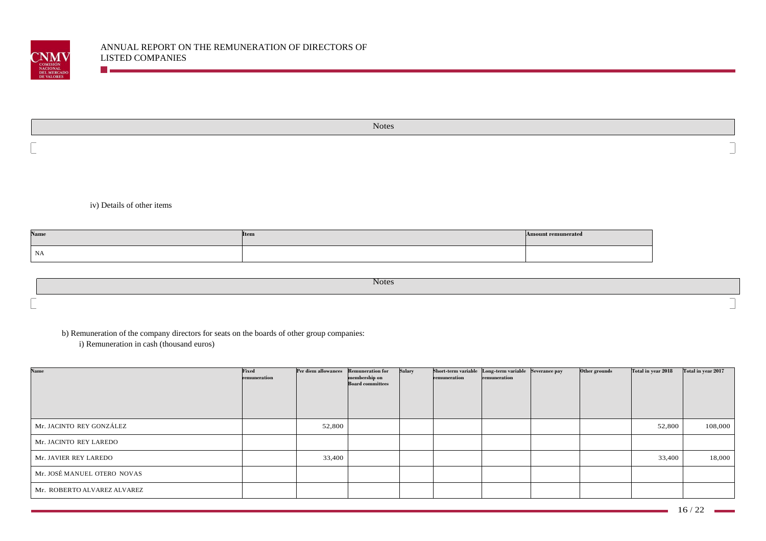

|   | Notes |
|---|-------|
| _ |       |
| _ |       |

iv) Details of other items

**The Communist Communist Communist Communist Communist Communist Communist Communist Communist Communist Communist** 

| Name          | <b>Item</b> | <b>Amount remunerated</b> |
|---------------|-------------|---------------------------|
| $\mathsf{NA}$ |             |                           |

| <b>Notes</b> |  |
|--------------|--|
|              |  |
|              |  |

b) Remuneration of the company directors for seats on the boards of other group companies:

i) Remuneration in cash (thousand euros)

| <b>Name</b>                 | Fixed<br>remuneration | Per diem allowances Remuneration for | membership on<br><b>Board committees</b> | Salary | remuneration | Short-term variable Long-term variable Severance pay<br>remuneration | Other grounds | Total in year 2018 | Total in year 2017 |
|-----------------------------|-----------------------|--------------------------------------|------------------------------------------|--------|--------------|----------------------------------------------------------------------|---------------|--------------------|--------------------|
| Mr. JACINTO REY GONZÁLEZ    |                       | 52,800                               |                                          |        |              |                                                                      |               | 52,800             | 108,000            |
| Mr. JACINTO REY LAREDO      |                       |                                      |                                          |        |              |                                                                      |               |                    |                    |
| Mr. JAVIER REY LAREDO       |                       | 33,400                               |                                          |        |              |                                                                      |               | 33,400             | 18,000             |
| Mr. JOSÉ MANUEL OTERO NOVAS |                       |                                      |                                          |        |              |                                                                      |               |                    |                    |
| Mr. ROBERTO ALVAREZ ALVAREZ |                       |                                      |                                          |        |              |                                                                      |               |                    |                    |

٠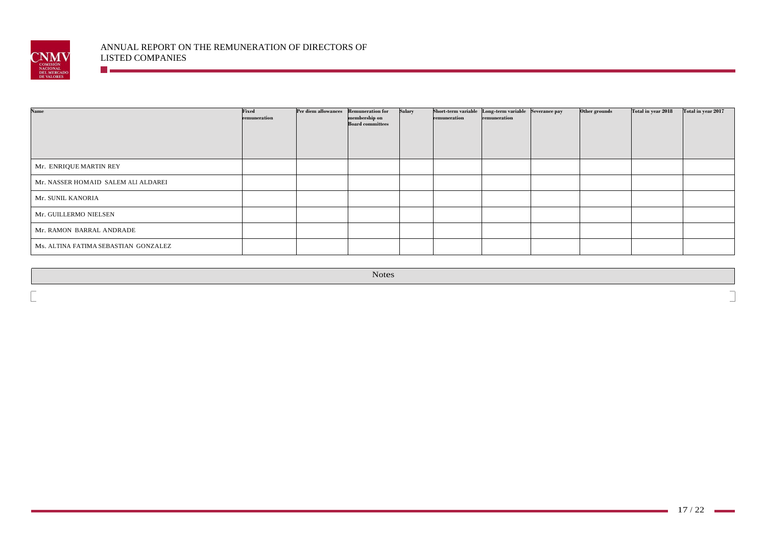

**The Communist Communist Communist** 

| <b>Name</b>                          | Fixed<br>remuneration | Per diem allowances Remuneration for | membership on<br><b>Board committees</b> | Salary | remuneration | Short-term variable Long-term variable Severance pay<br>remuneration | Other grounds | Total in year 2018 | Total in year 2017 |
|--------------------------------------|-----------------------|--------------------------------------|------------------------------------------|--------|--------------|----------------------------------------------------------------------|---------------|--------------------|--------------------|
| Mr. ENRIQUE MARTIN REY               |                       |                                      |                                          |        |              |                                                                      |               |                    |                    |
| Mr. NASSER HOMAID SALEM ALI ALDAREI  |                       |                                      |                                          |        |              |                                                                      |               |                    |                    |
| Mr. SUNIL KANORIA                    |                       |                                      |                                          |        |              |                                                                      |               |                    |                    |
| Mr. GUILLERMO NIELSEN                |                       |                                      |                                          |        |              |                                                                      |               |                    |                    |
| Mr. RAMON BARRAL ANDRADE             |                       |                                      |                                          |        |              |                                                                      |               |                    |                    |
| Ms. ALTINA FATIMA SEBASTIAN GONZALEZ |                       |                                      |                                          |        |              |                                                                      |               |                    |                    |

Notes

٦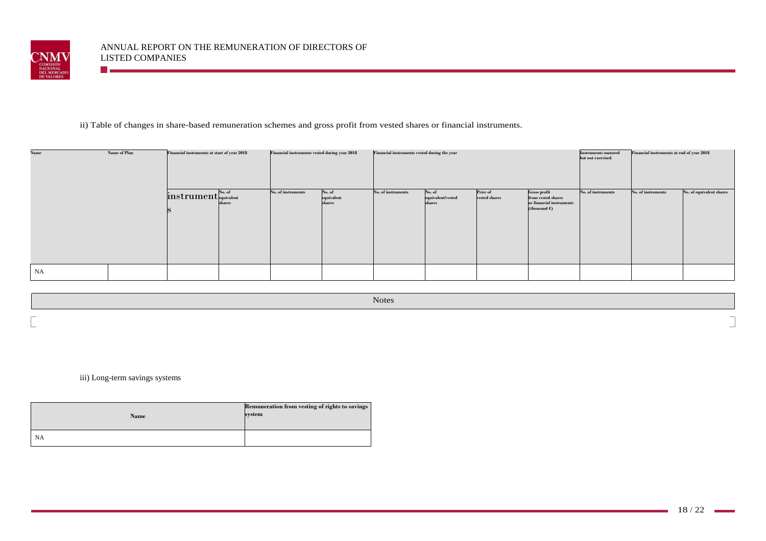

# ii) Table of changes in share-based remuneration schemes and gross profit from vested shares or financial instruments.

| Name | Name of Plan<br>Financial instruments at start of year 2018 |                                                                  | Financial instruments vested during year 2018 |                    | Financial instruments vested during the year |                    |                                       | Financial instruments at end of year 2018<br><b>Instruments matured</b><br>but not exercised |                                                                                          |                    |                    |                          |
|------|-------------------------------------------------------------|------------------------------------------------------------------|-----------------------------------------------|--------------------|----------------------------------------------|--------------------|---------------------------------------|----------------------------------------------------------------------------------------------|------------------------------------------------------------------------------------------|--------------------|--------------------|--------------------------|
|      |                                                             | $\overline{\text{instrument}}^\text{No. of}_{\text{equivalent}}$ | shares                                        | No. of instruments | No. of<br>equivalent<br>shares               | No. of instruments | No. of<br>equivalent/vested<br>shares | Price of<br>vested shares                                                                    | <b>Gross profit</b><br>from vested shares<br>or financial instruments<br>(thousand $C$ ) | No. of instruments | No. of instruments | No. of equivalent shares |
| NA   |                                                             |                                                                  |                                               |                    |                                              |                    |                                       |                                                                                              |                                                                                          |                    |                    |                          |

|                          | Notes  |
|--------------------------|--------|
| $\overline{\phantom{0}}$ | $\sim$ |
| $\overline{\phantom{a}}$ |        |

iii) Long-term savings systems

| Name | Remuneration from vesting of rights to savings<br>system |
|------|----------------------------------------------------------|
| NA   |                                                          |

m.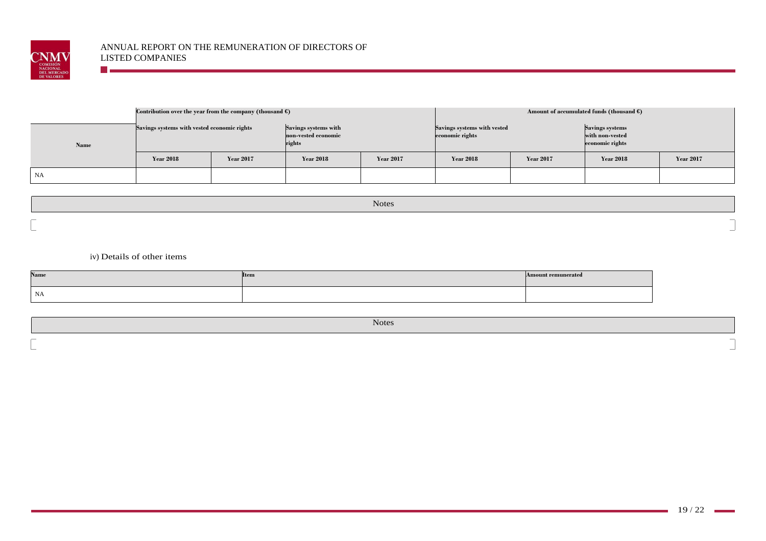

|      | Contribution over the year from the company (thousand $\epsilon$ ) |                  |                                                       |                  | Amount of accumulated funds (thousand $\epsilon$ ) |                  |                                                       |                  |  |  |  |
|------|--------------------------------------------------------------------|------------------|-------------------------------------------------------|------------------|----------------------------------------------------|------------------|-------------------------------------------------------|------------------|--|--|--|
| Name | Savings systems with vested economic rights                        |                  | Savings systems with<br>non-vested economic<br>rights |                  | Savings systems with vested<br>economic rights     |                  | Savings systems<br>with non-vested<br>economic rights |                  |  |  |  |
|      | <b>Year 2018</b>                                                   | <b>Year 2017</b> | <b>Year 2018</b>                                      | <b>Year 2017</b> | <b>Year 2018</b>                                   | <b>Year 2017</b> | <b>Year 2018</b>                                      | <b>Year 2017</b> |  |  |  |
| NA   |                                                                    |                  |                                                       |                  |                                                    |                  |                                                       |                  |  |  |  |

|                                                      | <b>Notes</b> |
|------------------------------------------------------|--------------|
| $\overline{\phantom{a}}$<br>$\overline{\phantom{a}}$ |              |

# iv) Details of other items

**The Communist Communist Communist** 

| Name      | <b>Item</b> | <b>Amount remunerated</b> |
|-----------|-------------|---------------------------|
| <b>NA</b> |             |                           |

Notes

 $\Box$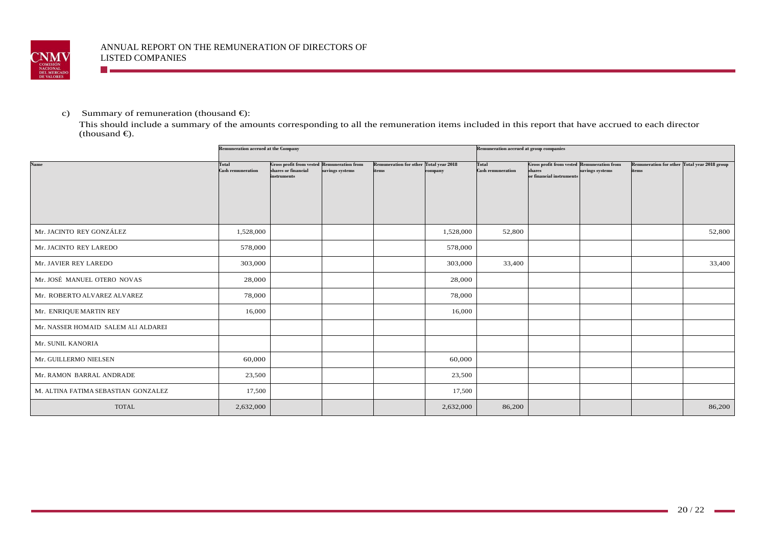

c) Summary of remuneration (thousand  $\epsilon$ ):

**The Company** 

 This should include a summary of the amounts corresponding to all the remuneration items included in this report that have accrued to each director  $-thousand \in$ ).

|                                     | <b>Remuneration accrued at the Company</b> |                                                                                                |                 |                                                        |           | Remuneration accrued at group companies  |                                                                                         |                 |                                                       |        |
|-------------------------------------|--------------------------------------------|------------------------------------------------------------------------------------------------|-----------------|--------------------------------------------------------|-----------|------------------------------------------|-----------------------------------------------------------------------------------------|-----------------|-------------------------------------------------------|--------|
| Name                                | Total<br><b>Cash remuneration</b>          | <b>Gross profit from vested Remuneration from</b><br>shares or financial<br><i>instruments</i> | savings systems | <b>Remuneration for other Total year 2018</b><br>items | company   | <b>Total</b><br><b>Cash remuneration</b> | <b>Gross profit from vested Remuneration from</b><br>shares<br>or financial instruments | savings systems | Remuneration for other Total year 2018 group<br>items |        |
| Mr. JACINTO REY GONZÁLEZ            | 1,528,000                                  |                                                                                                |                 |                                                        | 1,528,000 | 52,800                                   |                                                                                         |                 |                                                       | 52,800 |
| Mr. JACINTO REY LAREDO              | 578,000                                    |                                                                                                |                 |                                                        | 578,000   |                                          |                                                                                         |                 |                                                       |        |
| Mr. JAVIER REY LAREDO               | 303,000                                    |                                                                                                |                 |                                                        | 303,000   | 33,400                                   |                                                                                         |                 |                                                       | 33,400 |
| Mr. JOSÉ MANUEL OTERO NOVAS         | 28,000                                     |                                                                                                |                 |                                                        | 28,000    |                                          |                                                                                         |                 |                                                       |        |
| Mr. ROBERTO ALVAREZ ALVAREZ         | 78,000                                     |                                                                                                |                 |                                                        | 78,000    |                                          |                                                                                         |                 |                                                       |        |
| Mr. ENRIQUE MARTIN REY              | 16,000                                     |                                                                                                |                 |                                                        | 16,000    |                                          |                                                                                         |                 |                                                       |        |
| Mr. NASSER HOMAID SALEM ALI ALDAREI |                                            |                                                                                                |                 |                                                        |           |                                          |                                                                                         |                 |                                                       |        |
| Mr. SUNIL KANORIA                   |                                            |                                                                                                |                 |                                                        |           |                                          |                                                                                         |                 |                                                       |        |
| Mr. GUILLERMO NIELSEN               | 60,000                                     |                                                                                                |                 |                                                        | 60,000    |                                          |                                                                                         |                 |                                                       |        |
| Mr. RAMON BARRAL ANDRADE            | 23,500                                     |                                                                                                |                 |                                                        | 23,500    |                                          |                                                                                         |                 |                                                       |        |
| M. ALTINA FATIMA SEBASTIAN GONZALEZ | 17,500                                     |                                                                                                |                 |                                                        | 17,500    |                                          |                                                                                         |                 |                                                       |        |
| <b>TOTAL</b>                        | 2,632,000                                  |                                                                                                |                 |                                                        | 2,632,000 | 86,200                                   |                                                                                         |                 |                                                       | 86,200 |

a.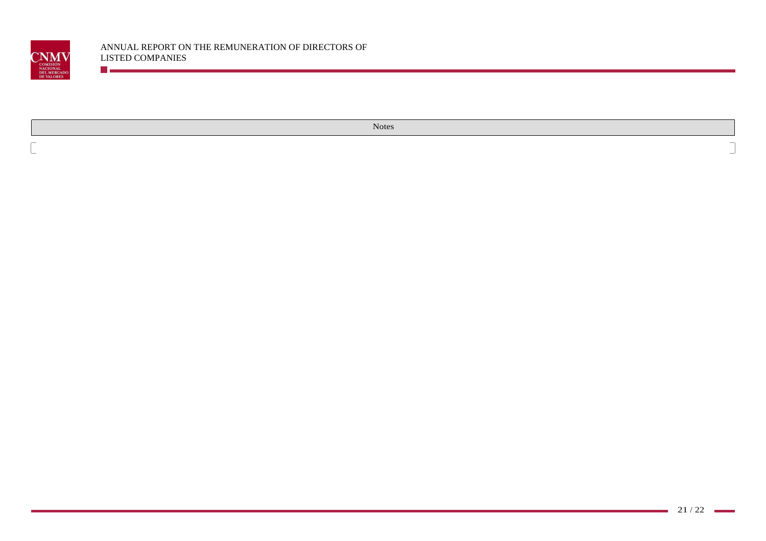

Notes

 $\overline{\phantom{a}}$